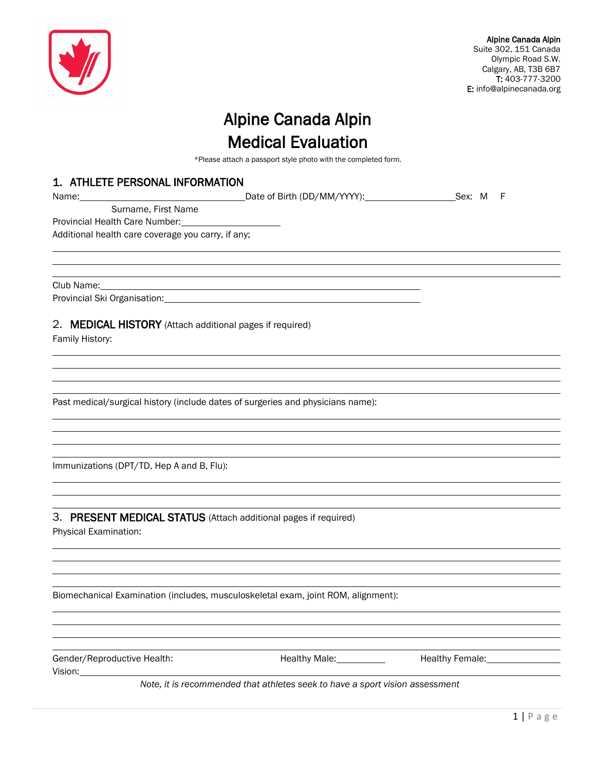

# Alpine Canada Alpin

# Medical Evaluation

\*Please attach a passport style photo with the completed form.

## 1. ATHLETE PERSONAL INFORMATION

|                                                                                                                | Name: Sex: M F                                                                    |                            |
|----------------------------------------------------------------------------------------------------------------|-----------------------------------------------------------------------------------|----------------------------|
| Surname, First Name                                                                                            |                                                                                   |                            |
| Provincial Health Care Number:                                                                                 |                                                                                   |                            |
| Additional health care coverage you carry, if any;                                                             |                                                                                   |                            |
|                                                                                                                |                                                                                   |                            |
|                                                                                                                |                                                                                   |                            |
| Club Name: Manual Annual Annual Annual Annual Annual Annual Annual Annual Annual Annual Annual Annual Annual A |                                                                                   |                            |
|                                                                                                                |                                                                                   |                            |
| 2. MEDICAL HISTORY (Attach additional pages if required)<br>Family History:                                    |                                                                                   |                            |
|                                                                                                                |                                                                                   |                            |
|                                                                                                                |                                                                                   |                            |
|                                                                                                                |                                                                                   |                            |
|                                                                                                                | Past medical/surgical history (include dates of surgeries and physicians name):   |                            |
|                                                                                                                |                                                                                   |                            |
|                                                                                                                |                                                                                   |                            |
| Immunizations (DPT/TD, Hep A and B, Flu):                                                                      |                                                                                   |                            |
|                                                                                                                |                                                                                   |                            |
|                                                                                                                |                                                                                   |                            |
| Physical Examination:                                                                                          | 3. PRESENT MEDICAL STATUS (Attach additional pages if required)                   |                            |
|                                                                                                                |                                                                                   |                            |
|                                                                                                                |                                                                                   |                            |
|                                                                                                                |                                                                                   |                            |
|                                                                                                                | Biomechanical Examination (includes, musculoskeletal exam, joint ROM, alignment): |                            |
|                                                                                                                |                                                                                   |                            |
|                                                                                                                |                                                                                   |                            |
|                                                                                                                |                                                                                   |                            |
| Gender/Reproductive Health:<br>Vision:__                                                                       | Healthy Male: __________                                                          | Healthy Female: __________ |
|                                                                                                                | Note, it is recommended that athletes seek to have a sport vision assessment      |                            |